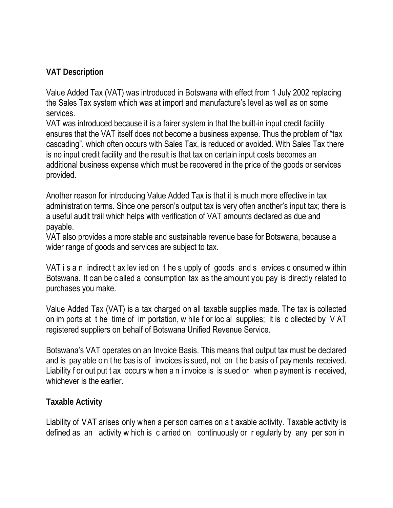#### **VAT Description**

Value Added Tax (VAT) was introduced in Botswana with effect from 1 July 2002 replacing the Sales Tax system which was at import and manufacture's level as well as on some services.

VAT was introduced because it is a fairer system in that the built-in input credit facility ensures that the VAT itself does not become a business expense. Thus the problem of "tax cascading", which often occurs with Sales Tax, is reduced or avoided. With Sales Tax there is no input credit facility and the result is that tax on certain input costs becomes an additional business expense which must be recovered in the price of the goods or services provided.

Another reason for introducing Value Added Tax is that it is much more effective in tax administration terms. Since one person's output tax is very often another's input tax; there is a useful audit trail which helps with verification of VAT amounts declared as due and payable.

VAT also provides a more stable and sustainable revenue base for Botswana, because a wider range of goods and services are subject to tax.

VAT i s a n indirect t ax lev ied on t he s upply of goods and s ervices c onsumed w ithin Botswana. It can be c alled a consumption tax as the amount you pay is directly related to purchases you make.

Value Added Tax (VAT) is a tax charged on all taxable supplies made. The tax is collected on im ports at t he time of im portation, w hile f or loc al supplies; it is c ollected by V AT registered suppliers on behalf of Botswana Unified Revenue Service.

Botswana's VAT operates on an Invoice Basis. This means that output tax must be declared and is pay able o n t he bas is of invoices is sued, not on t he b asis o f pay ments received. Liability f or out put t ax occurs w hen a n i nvoice is is sued or when p ayment is r eceived, whichever is the earlier.

#### **Taxable Activity**

Liability of VAT arises only when a per son carries on a t axable activity. Taxable activity is defined as an activity w hich is c arried on continuously or r egularly by any per son in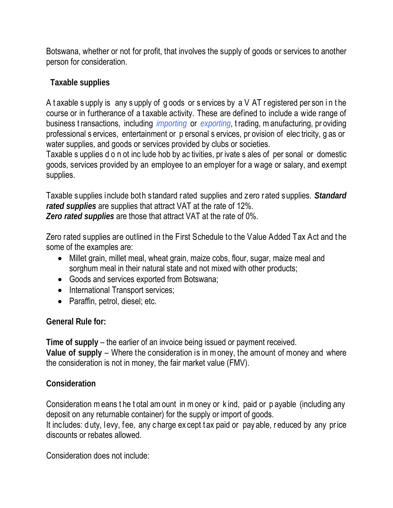Botswana, whether or not for profit, that involves the supply of goods or services to another person for consideration.

### **Taxable supplies**

A t axable s upply is any s upply of g oods or s ervices by a V AT r egistered per son i n t he course or in furtherance of a t axable activity. These are defined to include a wide range of business t ransactions, including *importing* or *exporting*, t rading, m anufacturing, pr oviding professional s ervices, entertainment or p ersonal s ervices, pr ovision of elec tricity, g as or water supplies, and goods or services provided by clubs or societies.

Taxable s upplies d o n ot inc lude hob by ac tivities, pr ivate s ales of per sonal or domestic goods, services provided by an employee to an employer for a wage or salary, and exempt supplies.

Taxable supplies include both standard rated supplies and zero rated supplies. *Standard rated supplies* are supplies that attract VAT at the rate of 12%. *Zero rated supplies* are those that attract VAT at the rate of 0%.

Zero rated supplies are outlined in the First Schedule to the Value Added Tax Act and t he some of the examples are:

- Millet grain, millet meal, wheat grain, maize cobs, flour, sugar, maize meal and sorghum meal in their natural state and not mixed with other products;
- Goods and services exported from Botswana;
- International Transport services;
- Paraffin, petrol, diesel; etc.

#### **General Rule for:**

**Time of supply** – the earlier of an invoice being issued or payment received. **Value of supply** – Where the consideration is in m oney, the amount of money and where the consideration is not in money, the fair market value (FMV).

#### **Consideration**

Consideration m eans t he t otal am ount in m oney or k ind, paid or p ayable (including any deposit on any returnable container) for the supply or import of goods. It includes: duty, levy, fee, any charge except tax paid or pay able, reduced by any price discounts or rebates allowed.

Consideration does not include: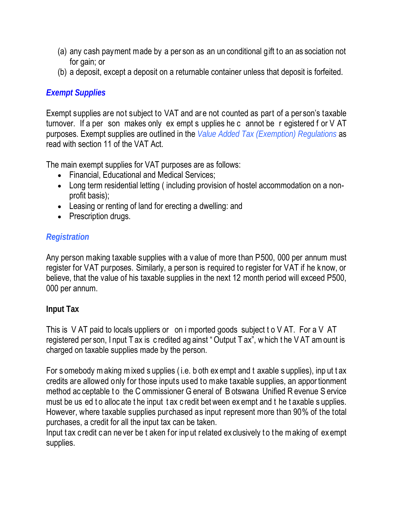- (a) any cash payment made by a per son as an un conditional gift to an as sociation not for gain; or
- (b) a deposit, except a deposit on a returnable container unless that deposit is forfeited.

# *Exempt Supplies*

Exempt supplies are not subject to VAT and are not counted as part of a per son's taxable turnover. If a per son makes only ex empt s upplies he c annot be r egistered f or V AT purposes. Exempt supplies are outlined in the *Value Added Tax (Exemption) Regulations* as read with section 11 of the VAT Act.

The main exempt supplies for VAT purposes are as follows:

- Financial, Educational and Medical Services;
- Long term residential letting (including provision of hostel accommodation on a nonprofit basis);
- Leasing or renting of land for erecting a dwelling: and
- Prescription drugs.

# *Registration*

Any person making taxable supplies with a v alue of more than P500, 000 per annum must register for VAT purposes. Similarly, a per son is required to register for VAT if he k now, or believe, that the value of his taxable supplies in the next 12 month period will exceed P500, 000 per annum.

# **Input Tax**

This is V AT paid to locals uppliers or on i mported goods subject t o V AT. For a V AT registered per son, I nput T ax is c redited ag ainst " Output T ax", w hich t he V AT am ount is charged on taxable supplies made by the person.

For s omebody m aking m ixed s upplies ( i.e. b oth ex empt and t axable s upplies), inp ut t ax credits are allowed only for those inputs used to make taxable supplies, an appor tionment method ac ceptable to the C ommissioner G eneral of B otswana Unified R evenue S ervice must be us ed to alloc ate the input tax c redit bet ween ex empt and t he taxable s upplies. However, where taxable supplies purchased as input represent more than 90% of the total purchases, a credit for all the input tax can be taken.

Input tax credit can ne ver be t aken for input related ex clusively to the making of exempt supplies.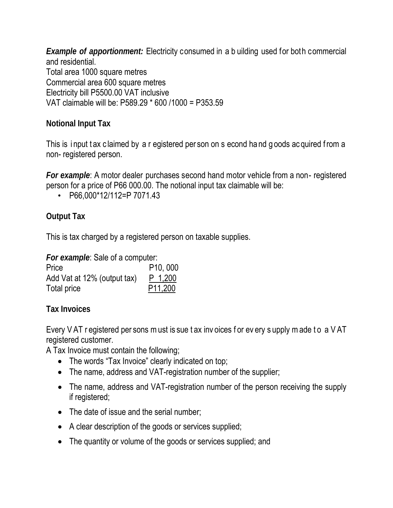*Example of apportionment:* Electricity consumed in a b uilding used for both commercial and residential. Total area 1000 square metres Commercial area 600 square metres Electricity bill P5500.00 VAT inclusive VAT claimable will be: P589.29 \* 600 /1000 = P353.59

# **Notional Input Tax**

This is input tax claimed by a r egistered per son on s econd hand goods ac quired from a non- registered person.

*For example*: A motor dealer purchases second hand motor vehicle from a non- registered person for a price of P66 000.00. The notional input tax claimable will be:

• P66,000\*12/112=P 7071.43

# **Output Tax**

This is tax charged by a registered person on taxable supplies.

*For example*: Sale of a computer:

| Price                       | P <sub>10</sub> , 000 |
|-----------------------------|-----------------------|
| Add Vat at 12% (output tax) | P 1,200               |
| Total price                 | P <sub>11,200</sub>   |

**Tax Invoices**

Every VAT r egistered per sons m ust is sue t ax inv oices f or ev ery s upply m ade to a VAT registered customer.

A Tax Invoice must contain the following;

- The words "Tax Invoice" clearly indicated on top;
- The name, address and VAT-registration number of the supplier;
- The name, address and VAT-registration number of the person receiving the supply if registered;
- The date of issue and the serial number;
- A clear description of the goods or services supplied;
- The quantity or volume of the goods or services supplied; and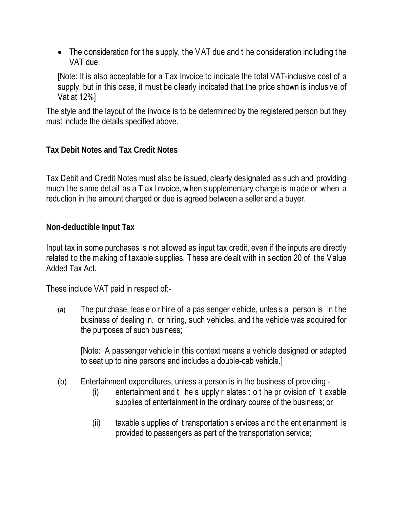• The consideration for the supply, the VAT due and t he consideration including the VAT due.

[Note: It is also acceptable for a Tax Invoice to indicate the total VAT-inclusive cost of a supply, but in this case, it must be c learly indicated that the price shown is inclusive of Vat at 12%]

The style and the layout of the invoice is to be determined by the registered person but they must include the details specified above.

**Tax Debit Notes and Tax Credit Notes**

Tax Debit and Credit Notes must also be is sued, clearly designated as such and providing much the same det ail as a T ax I nvoice, when supplementary charge is made or when a reduction in the amount charged or due is agreed between a seller and a buyer.

**Non-deductible Input Tax** 

Input tax in some purchases is not allowed as input tax credit, even if the inputs are directly related to the making of taxable supplies. These are dealt with in section 20 of the Value Added Tax Act.

These include VAT paid in respect of:-

(a) The pur chase, leas e o r hir e of a pas senger v ehicle, unles s a person is in t he business of dealing in, or hiring, such vehicles, and t he vehicle was acquired for the purposes of such business;

[Note: A passenger vehicle in this context means a vehicle designed or adapted to seat up to nine persons and includes a double-cab vehicle.]

- (b) Entertainment expenditures, unless a person is in the business of providing
	- (i) entertainment and t he s upply r elates t o t he pr ovision of t axable supplies of entertainment in the ordinary course of the business; or
	- (ii) taxable s upplies of t ransportation s ervices a nd t he ent ertainment is provided to passengers as part of the transportation service;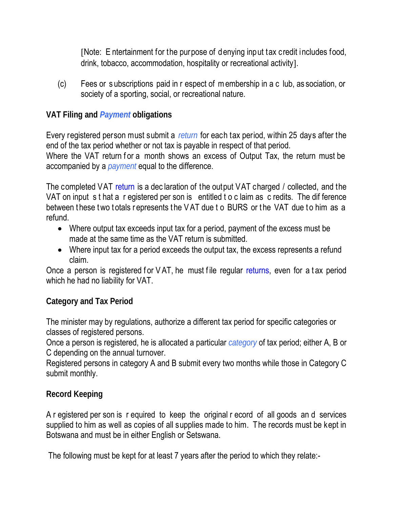[Note: E ntertainment for the purpose of denying input tax credit includes food, drink, tobacco, accommodation, hospitality or recreational activity].

(c) Fees or s ubscriptions paid in r espect of m embership in a c lub, as sociation, or society of a sporting, social, or recreational nature.

#### **VAT Filing and** *Payment* **obligations**

Every registered person must submit a *return* for each tax period, within 25 days after the end of the tax period whether or not tax is payable in respect of that period.

Where the VAT return for a month shows an excess of Output Tax, the return must be accompanied by a *payment* equal to the difference.

The completed VAT return is a declaration of the output VAT charged / collected, and the VAT on input s t hat a r egistered per son is entitled t o c laim as c redits. The dif ference between these two totals represents the VAT due t o BURS or the VAT due to him as a refund.

- Where output tax exceeds input tax for a period, payment of the excess must be made at the same time as the VAT return is submitted.
- Where input tax for a period exceeds the output tax, the excess represents a refund claim.

Once a person is registered for  $VAT$ , he must file regular returns, even for a tax period which he had no liability for VAT.

#### **Category and Tax Period**

The minister may by regulations, authorize a different tax period for specific categories or classes of registered persons.

Once a person is registered, he is allocated a particular *category* of tax period; either A, B or C depending on the annual turnover.

Registered persons in category A and B submit every two months while those in Category C submit monthly.

#### **Record Keeping**

A r egistered per son is r equired to keep the original r ecord of all goods an d services supplied to him as well as copies of all supplies made to him. The records must be kept in Botswana and must be in either English or Setswana.

The following must be kept for at least 7 years after the period to which they relate:-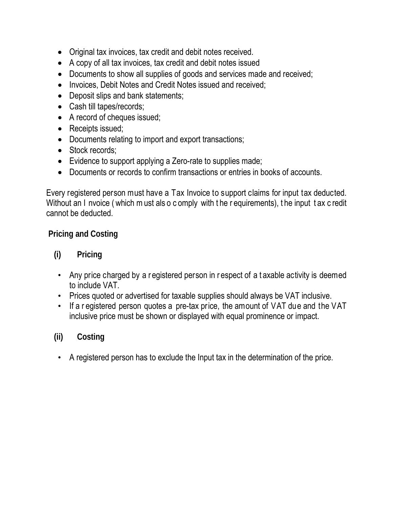- Original tax invoices, tax credit and debit notes received.
- A copy of all tax invoices, tax credit and debit notes issued
- Documents to show all supplies of goods and services made and received;
- Invoices, Debit Notes and Credit Notes issued and received;
- Deposit slips and bank statements;
- Cash till tapes/records;
- A record of cheques issued;
- Receipts issued:
- Documents relating to import and export transactions;
- Stock records:
- Evidence to support applying a Zero-rate to supplies made;
- Documents or records to confirm transactions or entries in books of accounts.

Every registered person must have a Tax Invoice to support claims for input tax deducted. Without an I nvoice (which m ust als o c omply with t he r equirements), t he input t ax c redit cannot be deducted.

#### **Pricing and Costing**

# **(i) Pricing**

- Any price charged by a registered person in respect of a taxable activity is deemed to include VAT.
- Prices quoted or advertised for taxable supplies should always be VAT inclusive.
- If a r egistered person quotes a pre-tax price, the amount of VAT due and the VAT inclusive price must be shown or displayed with equal prominence or impact.

# **(ii) Costing**

• A registered person has to exclude the Input tax in the determination of the price.